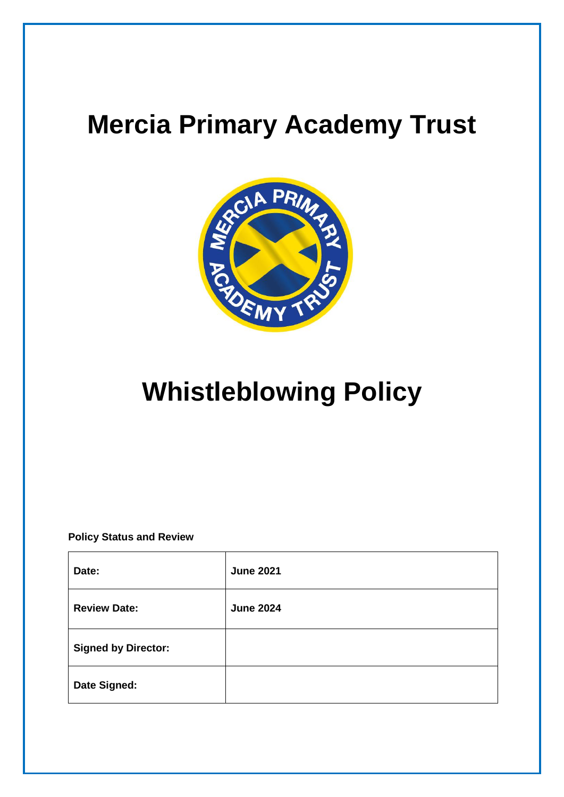# **Mercia Primary Academy Trust**



# **Whistleblowing Policy**

**Policy Status and Review**

| Date:                      | <b>June 2021</b> |
|----------------------------|------------------|
| <b>Review Date:</b>        | <b>June 2024</b> |
| <b>Signed by Director:</b> |                  |
| Date Signed:               |                  |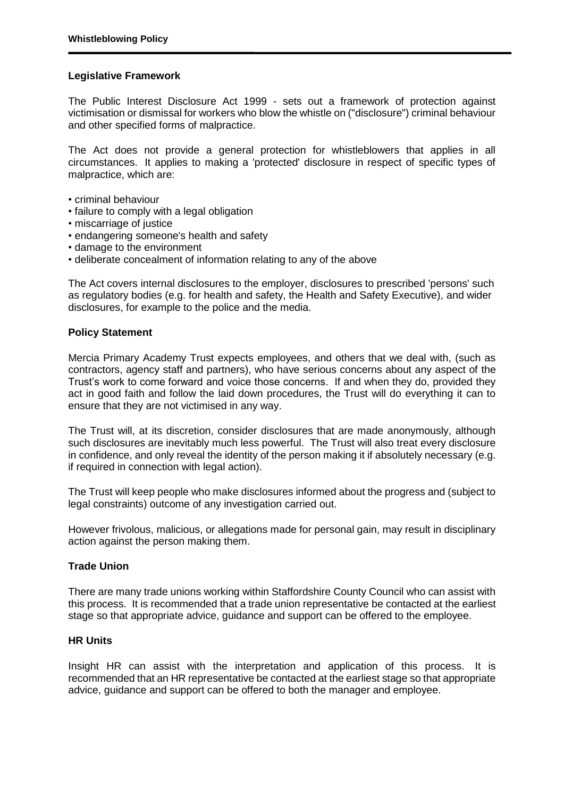# **Legislative Framework**

The Public Interest Disclosure Act 1999 - sets out a framework of protection against victimisation or dismissal for workers who blow the whistle on ("disclosure") criminal behaviour and other specified forms of malpractice.

The Act does not provide a general protection for whistleblowers that applies in all circumstances. It applies to making a 'protected' disclosure in respect of specific types of malpractice, which are:

- criminal behaviour
- failure to comply with a legal obligation
- miscarriage of justice
- endangering someone's health and safety
- damage to the environment
- deliberate concealment of information relating to any of the above

The Act covers internal disclosures to the employer, disclosures to prescribed 'persons' such as regulatory bodies (e.g. for health and safety, the Health and Safety Executive), and wider disclosures, for example to the police and the media.

# **Policy Statement**

Mercia Primary Academy Trust expects employees, and others that we deal with, (such as contractors, agency staff and partners), who have serious concerns about any aspect of the Trust's work to come forward and voice those concerns. If and when they do, provided they act in good faith and follow the laid down procedures, the Trust will do everything it can to ensure that they are not victimised in any way.

The Trust will, at its discretion, consider disclosures that are made anonymously, although such disclosures are inevitably much less powerful. The Trust will also treat every disclosure in confidence, and only reveal the identity of the person making it if absolutely necessary (e.g. if required in connection with legal action).

The Trust will keep people who make disclosures informed about the progress and (subject to legal constraints) outcome of any investigation carried out.

However frivolous, malicious, or allegations made for personal gain, may result in disciplinary action against the person making them.

## **Trade Union**

There are many trade unions working within Staffordshire County Council who can assist with this process. It is recommended that a trade union representative be contacted at the earliest stage so that appropriate advice, guidance and support can be offered to the employee.

## **HR Units**

Insight HR can assist with the interpretation and application of this process. It is recommended that an HR representative be contacted at the earliest stage so that appropriate advice, guidance and support can be offered to both the manager and employee.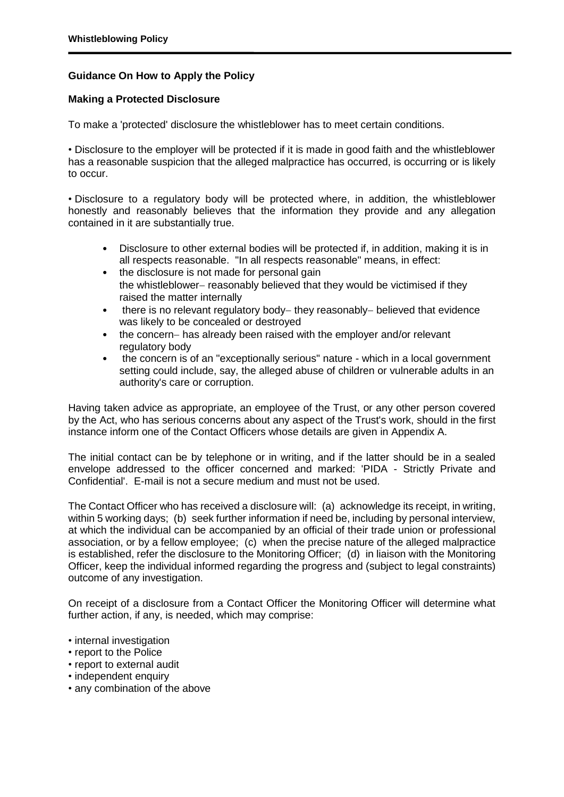# **Guidance On How to Apply the Policy**

# **Making a Protected Disclosure**

To make a 'protected' disclosure the whistleblower has to meet certain conditions.

• Disclosure to the employer will be protected if it is made in good faith and the whistleblower has a reasonable suspicion that the alleged malpractice has occurred, is occurring or is likely to occur.

• Disclosure to a regulatory body will be protected where, in addition, the whistleblower honestly and reasonably believes that the information they provide and any allegation contained in it are substantially true.

- Disclosure to other external bodies will be protected if, in addition, making it is in all respects reasonable. "In all respects reasonable" means, in effect:
- the disclosure is not made for personal gain the whistleblower- reasonably believed that they would be victimised if they raised the matter internally
- $\bullet$  there is no relevant regulatory body-they reasonably-believed that evidence was likely to be concealed or destroyed
- the concern- has already been raised with the employer and/or relevant regulatory body
- the concern is of an "exceptionally serious" nature which in a local government setting could include, say, the alleged abuse of children or vulnerable adults in an authority's care or corruption.

Having taken advice as appropriate, an employee of the Trust, or any other person covered by the Act, who has serious concerns about any aspect of the Trust's work, should in the first instance inform one of the Contact Officers whose details are given in Appendix A.

The initial contact can be by telephone or in writing, and if the latter should be in a sealed envelope addressed to the officer concerned and marked: 'PIDA - Strictly Private and Confidential'. E-mail is not a secure medium and must not be used.

The Contact Officer who has received a disclosure will: (a) acknowledge its receipt, in writing, within 5 working days; (b) seek further information if need be, including by personal interview, at which the individual can be accompanied by an official of their trade union or professional association, or by a fellow employee; (c) when the precise nature of the alleged malpractice is established, refer the disclosure to the Monitoring Officer; (d) in liaison with the Monitoring Officer, keep the individual informed regarding the progress and (subject to legal constraints) outcome of any investigation.

On receipt of a disclosure from a Contact Officer the Monitoring Officer will determine what further action, if any, is needed, which may comprise:

- internal investigation
- report to the Police
- report to external audit
- independent enquiry
- any combination of the above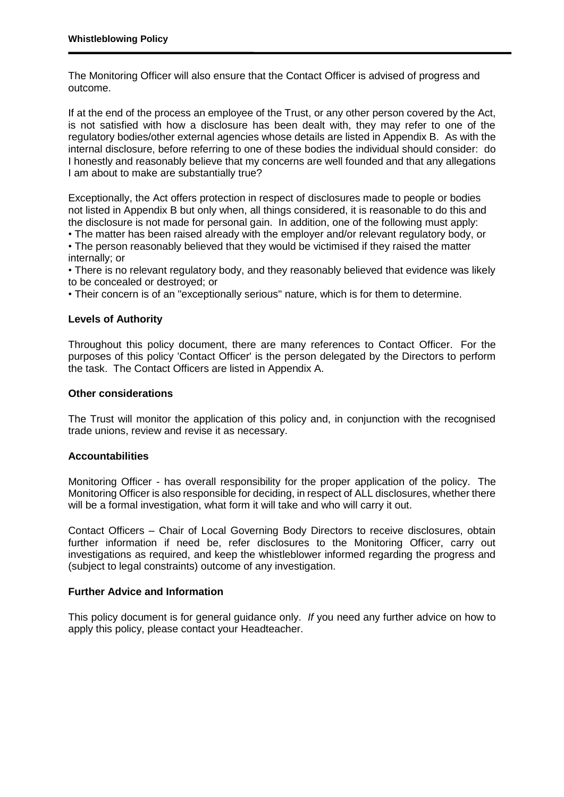The Monitoring Officer will also ensure that the Contact Officer is advised of progress and outcome.

If at the end of the process an employee of the Trust, or any other person covered by the Act, is not satisfied with how a disclosure has been dealt with, they may refer to one of the regulatory bodies/other external agencies whose details are listed in Appendix B. As with the internal disclosure, before referring to one of these bodies the individual should consider: do I honestly and reasonably believe that my concerns are well founded and that any allegations I am about to make are substantially true?

Exceptionally, the Act offers protection in respect of disclosures made to people or bodies not listed in Appendix B but only when, all things considered, it is reasonable to do this and the disclosure is not made for personal gain. In addition, one of the following must apply:

• The matter has been raised already with the employer and/or relevant regulatory body, or • The person reasonably believed that they would be victimised if they raised the matter internally; or

• There is no relevant regulatory body, and they reasonably believed that evidence was likely to be concealed or destroyed; or

• Their concern is of an "exceptionally serious" nature, which is for them to determine.

# **Levels of Authority**

Throughout this policy document, there are many references to Contact Officer. For the purposes of this policy 'Contact Officer' is the person delegated by the Directors to perform the task. The Contact Officers are listed in Appendix A.

## **Other considerations**

The Trust will monitor the application of this policy and, in conjunction with the recognised trade unions, review and revise it as necessary.

## **Accountabilities**

Monitoring Officer - has overall responsibility for the proper application of the policy. The Monitoring Officer is also responsible for deciding, in respect of ALL disclosures, whether there will be a formal investigation, what form it will take and who will carry it out.

Contact Officers – Chair of Local Governing Body Directors to receive disclosures, obtain further information if need be, refer disclosures to the Monitoring Officer, carry out investigations as required, and keep the whistleblower informed regarding the progress and (subject to legal constraints) outcome of any investigation.

## **Further Advice and Information**

This policy document is for general guidance only. *If* you need any further advice on how to apply this policy, please contact your Headteacher.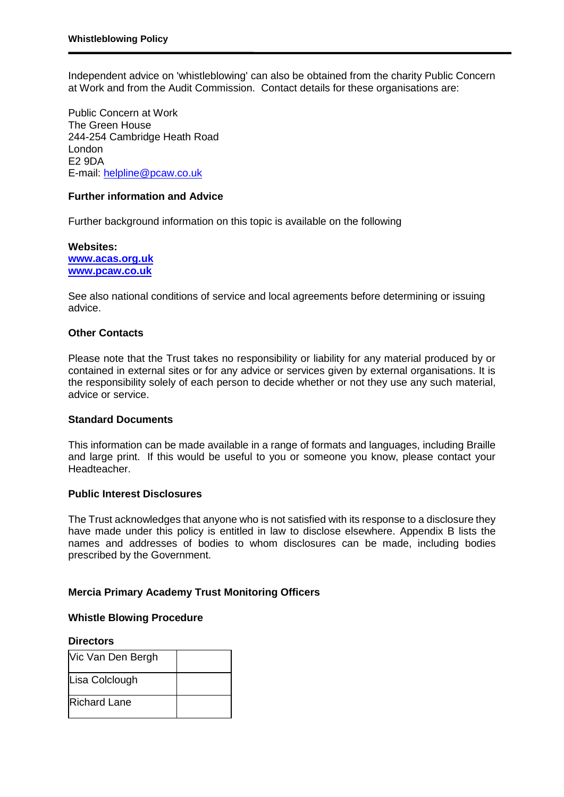Independent advice on 'whistleblowing' can also be obtained from the charity Public Concern at Work and from the Audit Commission. Contact details for these organisations are:

Public Concern at Work The Green House 244-254 Cambridge Heath Road London E2 9DA E-mail: [helpline@pcaw.co.uk](mailto:helpline@pcaw.co.uk)

## **Further information and Advice**

Further background information on this topic is available on the following

**Websites: [www.acas.org.uk](http://www.acas.org.uk/) [www.pcaw.co.uk](http://www.pcaw.co.uk/)**

See also national conditions of service and local agreements before determining or issuing advice.

#### **Other Contacts**

Please note that the Trust takes no responsibility or liability for any material produced by or contained in external sites or for any advice or services given by external organisations. It is the responsibility solely of each person to decide whether or not they use any such material, advice or service.

#### **Standard Documents**

This information can be made available in a range of formats and languages, including Braille and large print. If this would be useful to you or someone you know, please contact your Headteacher.

#### **Public Interest Disclosures**

The Trust acknowledges that anyone who is not satisfied with its response to a disclosure they have made under this policy is entitled in law to disclose elsewhere. Appendix B lists the names and addresses of bodies to whom disclosures can be made, including bodies prescribed by the Government.

## **Mercia Primary Academy Trust Monitoring Officers**

# **Whistle Blowing Procedure**

#### **Directors**

| Vic Van Den Bergh   |  |
|---------------------|--|
| Lisa Colclough      |  |
| <b>Richard Lane</b> |  |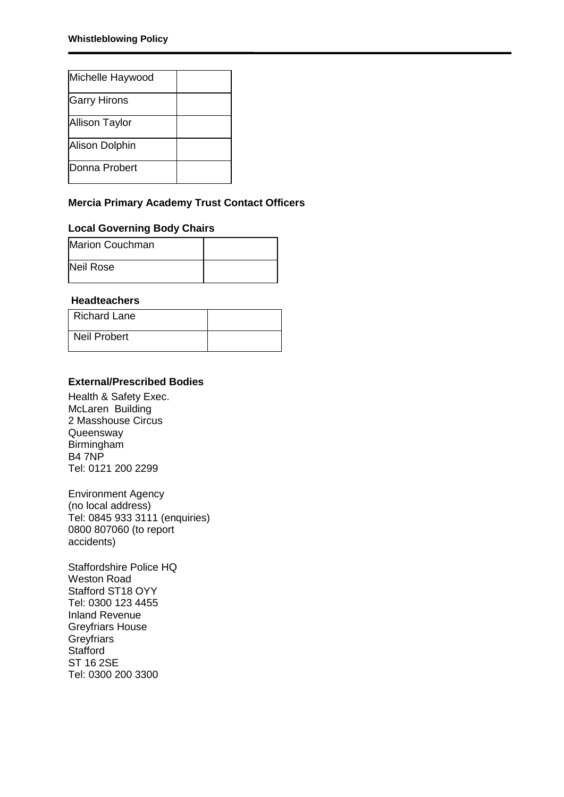| Michelle Haywood      |  |
|-----------------------|--|
| <b>Garry Hirons</b>   |  |
| <b>Allison Taylor</b> |  |
| Alison Dolphin        |  |
| <b>Donna Probert</b>  |  |

# **Mercia Primary Academy Trust Contact Officers**

# **Local Governing Body Chairs**

| Marion Couchman |  |
|-----------------|--|
| Neil Rose       |  |

# **Headteachers**

| <b>Richard Lane</b> |  |
|---------------------|--|
| Neil Probert        |  |

# **External/Prescribed Bodies**

Health & Safety Exec. McLaren Building 2 Masshouse Circus **Queensway** Birmingham B4 7NP Tel: 0121 200 2299

Environment Agency (no local address) Tel: 0845 933 3111 (enquiries) 0800 807060 (to report accidents)

Staffordshire Police HQ Weston Road Stafford ST18 OYY Tel: 0300 123 4455 Inland Revenue Greyfriars House **Greyfriars Stafford** ST 16 2SE Tel: 0300 200 3300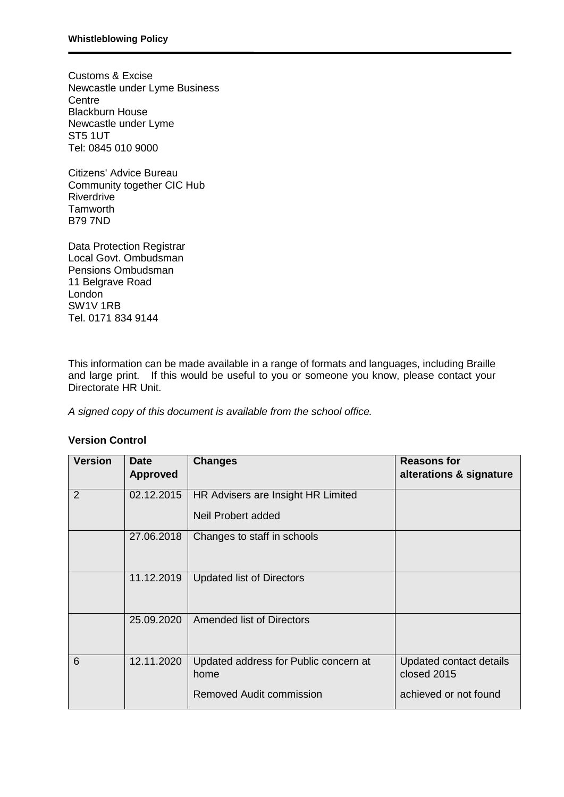Customs & Excise Newcastle under Lyme Business **Centre** Blackburn House Newcastle under Lyme ST5 1UT Tel: 0845 010 9000

Citizens' Advice Bureau Community together CIC Hub Riverdrive **Tamworth** B79 7ND

Data Protection Registrar Local Govt. Ombudsman Pensions Ombudsman 11 Belgrave Road London SW1V 1RB Tel. 0171 834 9144

This information can be made available in a range of formats and languages, including Braille and large print. If this would be useful to you or someone you know, please contact your Directorate HR Unit.

*A signed copy of this document is available from the school office.*

## **Version Control**

| <b>Version</b> | <b>Date</b><br><b>Approved</b> | <b>Changes</b>                                | <b>Reasons for</b><br>alterations & signature |
|----------------|--------------------------------|-----------------------------------------------|-----------------------------------------------|
| 2              | 02.12.2015                     | HR Advisers are Insight HR Limited            |                                               |
|                |                                | Neil Probert added                            |                                               |
|                | 27.06.2018                     | Changes to staff in schools                   |                                               |
|                | 11.12.2019                     | <b>Updated list of Directors</b>              |                                               |
|                | 25.09.2020                     | Amended list of Directors                     |                                               |
| 6              | 12.11.2020                     | Updated address for Public concern at<br>home | Updated contact details<br>closed 2015        |
|                |                                | Removed Audit commission                      | achieved or not found                         |